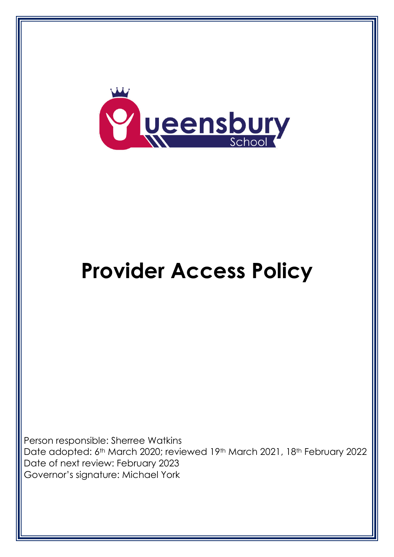

# **Provider Access Policy**

Person responsible: Sherree Watkins Date adopted: 6<sup>th</sup> March 2020; reviewed 19<sup>th</sup> March 2021, 18<sup>th</sup> February 2022 Date of next review: February 2023 Governor's signature: Michael York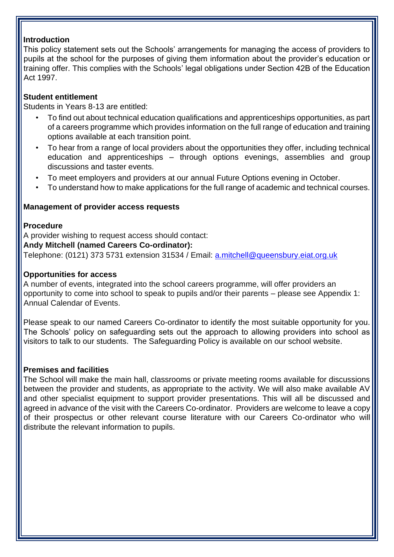### **Introduction**

This policy statement sets out the Schools' arrangements for managing the access of providers to pupils at the school for the purposes of giving them information about the provider's education or training offer. This complies with the Schools' legal obligations under Section 42B of the Education | Act 1997.

## **Student entitlement**

Students in Years 8-13 are entitled:

- To find out about technical education qualifications and apprenticeships opportunities, as part of a careers programme which provides information on the full range of education and training options available at each transition point.
- To hear from a range of local providers about the opportunities they offer, including technical education and apprenticeships – through options evenings, assemblies and group discussions and taster events.
- To meet employers and providers at our annual Future Options evening in October.
- To understand how to make applications for the full range of academic and technical courses.

### **Management of provider access requests**

#### **Procedure**

A provider wishing to request access should contact:

#### **Andy Mitchell (named Careers Co-ordinator):**

Telephone: (0121) 373 5731 extension 31534 / Email: a.mitchell@queensbury.eiat.org.uk

## **Opportunities for access**

A number of events, integrated into the school careers programme, will offer providers an opportunity to come into school to speak to pupils and/or their parents – please see Appendix 1: Annual Calendar of Events.

Please speak to our named Careers Co-ordinator to identify the most suitable opportunity for you. The Schools' policy on safeguarding sets out the approach to allowing providers into school as visitors to talk to our students. The Safeguarding Policy is available on our school website.

#### **Premises and facilities**

The School will make the main hall, classrooms or private meeting rooms available for discussions between the provider and students, as appropriate to the activity. We will also make available AV and other specialist equipment to support provider presentations. This will all be discussed and agreed in advance of the visit with the Careers Co-ordinator. Providers are welcome to leave a copy of their prospectus or other relevant course literature with our Careers Co-ordinator who will distribute the relevant information to pupils.